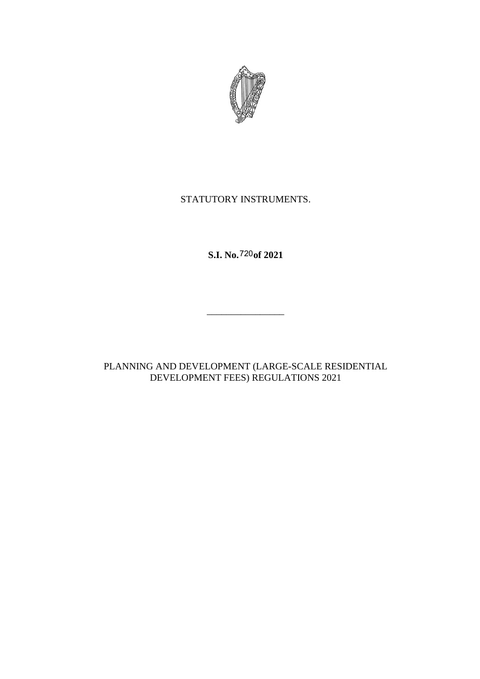

# STATUTORY INSTRUMENTS.

**S.I. No.** 720 of 2021

PLANNING AND DEVELOPMENT (LARGE-SCALE RESIDENTIAL DEVELOPMENT FEES) REGULATIONS 2021

 $\frac{1}{2}$  , and the set of the set of the set of the set of the set of the set of the set of the set of the set of the set of the set of the set of the set of the set of the set of the set of the set of the set of the set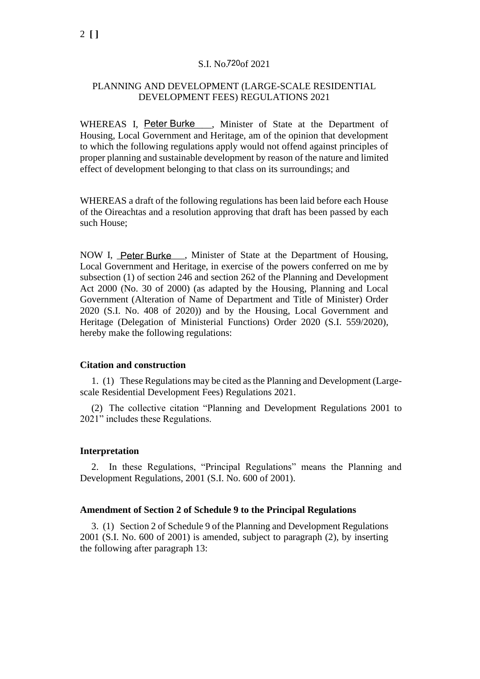### S.I. No.720of 2021

## PLANNING AND DEVELOPMENT (LARGE-SCALE RESIDENTIAL DEVELOPMENT FEES) REGULATIONS 2021

WHEREAS I, Peter Burke , Minister of State at the Department of Housing, Local Government and Heritage, am of the opinion that development to which the following regulations apply would not offend against principles of proper planning and sustainable development by reason of the nature and limited effect of development belonging to that class on its surroundings; and

WHEREAS a draft of the following regulations has been laid before each House of the Oireachtas and a resolution approving that draft has been passed by each such House;

NOW I, Peter Burke , Minister of State at the Department of Housing, Local Government and Heritage, in exercise of the powers conferred on me by subsection (1) of section 246 and section 262 of the Planning and Development Act 2000 (No. 30 of 2000) (as adapted by the Housing, Planning and Local Government (Alteration of Name of Department and Title of Minister) Order 2020 (S.I. No. 408 of 2020)) and by the Housing, Local Government and Heritage (Delegation of Ministerial Functions) Order 2020 (S.I. 559/2020), hereby make the following regulations:

#### **Citation and construction**

1. (1) These Regulations may be cited as the Planning and Development (Largescale Residential Development Fees) Regulations 2021.

(2) The collective citation "Planning and Development Regulations 2001 to 2021" includes these Regulations.

#### **Interpretation**

2. In these Regulations, "Principal Regulations" means the Planning and Development Regulations, 2001 (S.I. No. 600 of 2001).

#### **Amendment of Section 2 of Schedule 9 to the Principal Regulations**

3. (1) Section 2 of Schedule 9 of the Planning and Development Regulations 2001 (S.I. No. 600 of 2001) is amended, subject to paragraph (2), by inserting the following after paragraph 13: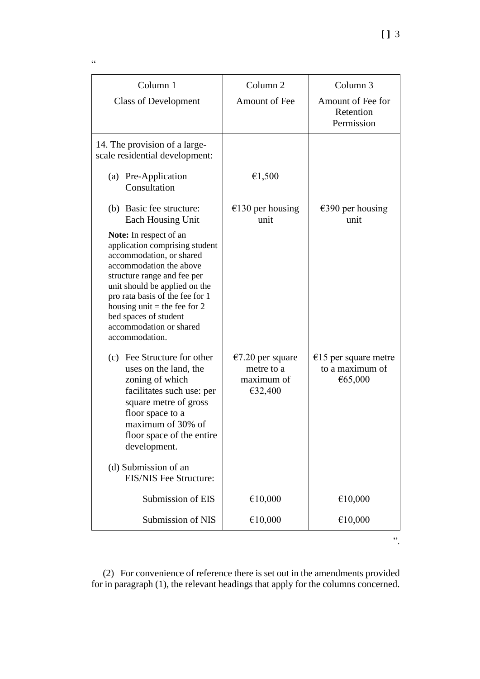| Column 1                                                                                                                                                                                                                                                                                                                 | Column <sub>2</sub>                                               | Column <sub>3</sub>                                          |
|--------------------------------------------------------------------------------------------------------------------------------------------------------------------------------------------------------------------------------------------------------------------------------------------------------------------------|-------------------------------------------------------------------|--------------------------------------------------------------|
| <b>Class of Development</b>                                                                                                                                                                                                                                                                                              | <b>Amount of Fee</b>                                              | Amount of Fee for<br>Retention<br>Permission                 |
| 14. The provision of a large-<br>scale residential development:                                                                                                                                                                                                                                                          |                                                                   |                                                              |
| (a) Pre-Application<br>Consultation                                                                                                                                                                                                                                                                                      | €1,500                                                            |                                                              |
| (b) Basic fee structure:<br>Each Housing Unit                                                                                                                                                                                                                                                                            | $\epsilon$ 130 per housing<br>unit                                | $\epsilon$ 390 per housing<br>unit                           |
| Note: In respect of an<br>application comprising student<br>accommodation, or shared<br>accommodation the above<br>structure range and fee per<br>unit should be applied on the<br>pro rata basis of the fee for 1<br>housing unit = the fee for 2<br>bed spaces of student<br>accommodation or shared<br>accommodation. |                                                                   |                                                              |
| (c) Fee Structure for other<br>uses on the land, the<br>zoning of which<br>facilitates such use: per<br>square metre of gross<br>floor space to a<br>maximum of 30% of<br>floor space of the entire<br>development.                                                                                                      | $\epsilon$ 7.20 per square<br>metre to a<br>maximum of<br>€32,400 | $\epsilon$ 15 per square metre<br>to a maximum of<br>€65,000 |
| (d) Submission of an<br><b>EIS/NIS Fee Structure:</b>                                                                                                                                                                                                                                                                    |                                                                   |                                                              |
| Submission of EIS                                                                                                                                                                                                                                                                                                        | €10,000                                                           | €10,000                                                      |
| Submission of NIS                                                                                                                                                                                                                                                                                                        | €10,000                                                           | €10,000                                                      |
|                                                                                                                                                                                                                                                                                                                          |                                                                   | ,,                                                           |

(2) For convenience of reference there is set out in the amendments provided for in paragraph (1), the relevant headings that apply for the columns concerned.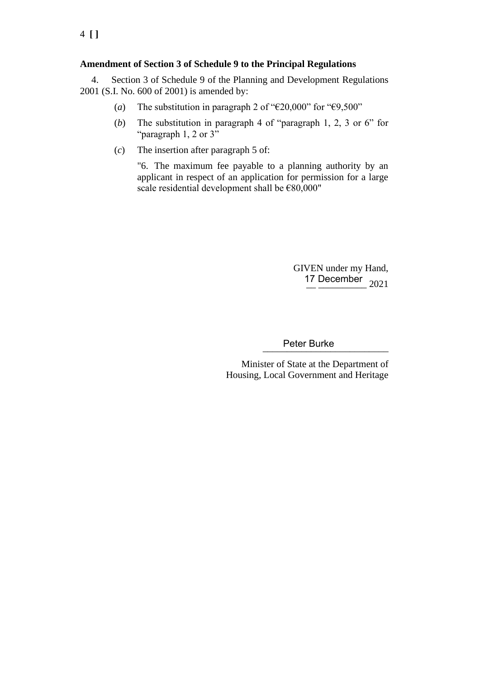# **Amendment of Section 3 of Schedule 9 to the Principal Regulations**

4. Section 3 of Schedule 9 of the Planning and Development Regulations 2001 (S.I. No. 600 of 2001) is amended by:

- (*a*) The substitution in paragraph 2 of " $\epsilon$ 20,000" for " $\epsilon$ 9,500"
- (*b*) The substitution in paragraph 4 of "paragraph 1, 2, 3 or 6" for "paragraph 1, 2 or 3"
- (*c*) The insertion after paragraph 5 of:

"6. The maximum fee payable to a planning authority by an applicant in respect of an application for permission for a large scale residential development shall be €80,000"

> GIVEN under my Hand, 17 December 2021

\_\_\_\_\_\_\_\_\_\_\_\_\_\_\_\_\_\_\_\_\_\_\_\_\_\_ Peter Burke

Minister of State at the Department of Housing, Local Government and Heritage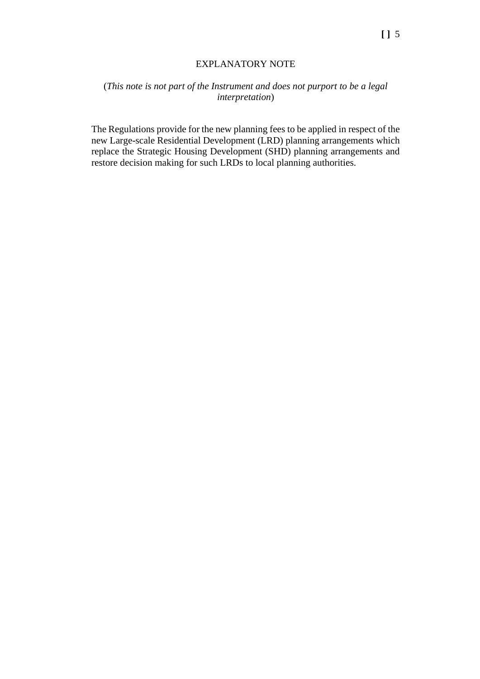## EXPLANATORY NOTE

# (*This note is not part of the Instrument and does not purport to be a legal interpretation*)

The Regulations provide for the new planning fees to be applied in respect of the new Large-scale Residential Development (LRD) planning arrangements which replace the Strategic Housing Development (SHD) planning arrangements and restore decision making for such LRDs to local planning authorities.